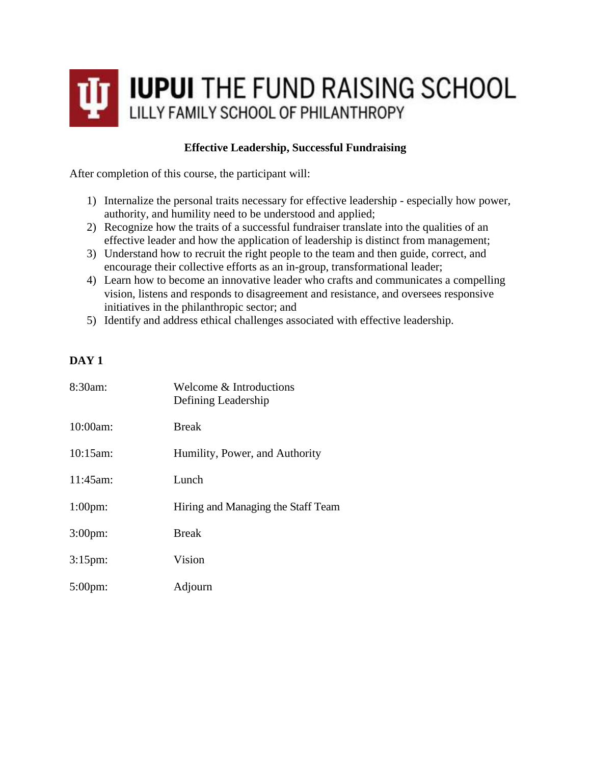

## **Effective Leadership, Successful Fundraising**

After completion of this course, the participant will:

- 1) Internalize the personal traits necessary for effective leadership especially how power, authority, and humility need to be understood and applied;
- 2) Recognize how the traits of a successful fundraiser translate into the qualities of an effective leader and how the application of leadership is distinct from management;
- 3) Understand how to recruit the right people to the team and then guide, correct, and encourage their collective efforts as an in-group, transformational leader;
- 4) Learn how to become an innovative leader who crafts and communicates a compelling vision, listens and responds to disagreement and resistance, and oversees responsive initiatives in the philanthropic sector; and
- 5) Identify and address ethical challenges associated with effective leadership.

## **DAY 1**

| 8:30am:          | Welcome & Introductions<br>Defining Leadership |
|------------------|------------------------------------------------|
| 10:00am:         | <b>Break</b>                                   |
| 10:15am:         | Humility, Power, and Authority                 |
| 11:45am:         | Lunch                                          |
| $1:00$ pm:       | Hiring and Managing the Staff Team             |
| 3:00pm:          | <b>Break</b>                                   |
| $3:15 \text{pm}$ | Vision                                         |
| $5:00 \text{pm}$ | Adjourn                                        |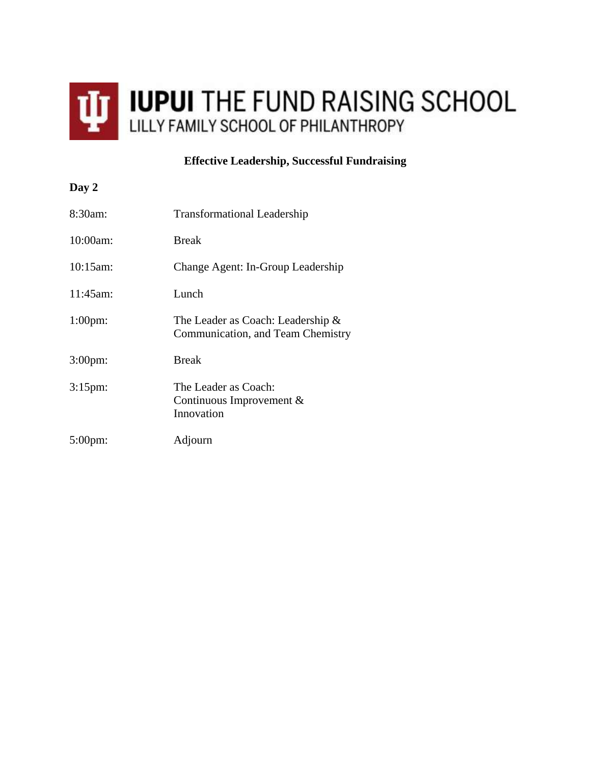

## **Effective Leadership, Successful Fundraising**

| Day 2            |                                                                           |
|------------------|---------------------------------------------------------------------------|
| $8:30am$ :       | <b>Transformational Leadership</b>                                        |
| 10:00am:         | <b>Break</b>                                                              |
| 10:15am          | Change Agent: In-Group Leadership                                         |
| $11:45$ am:      | Lunch                                                                     |
| $1:00$ pm:       | The Leader as Coach: Leadership $\&$<br>Communication, and Team Chemistry |
| $3:00$ pm:       | <b>Break</b>                                                              |
| $3:15$ pm:       | The Leader as Coach:<br>Continuous Improvement $&$<br>Innovation          |
| $5:00 \text{pm}$ | Adjourn                                                                   |